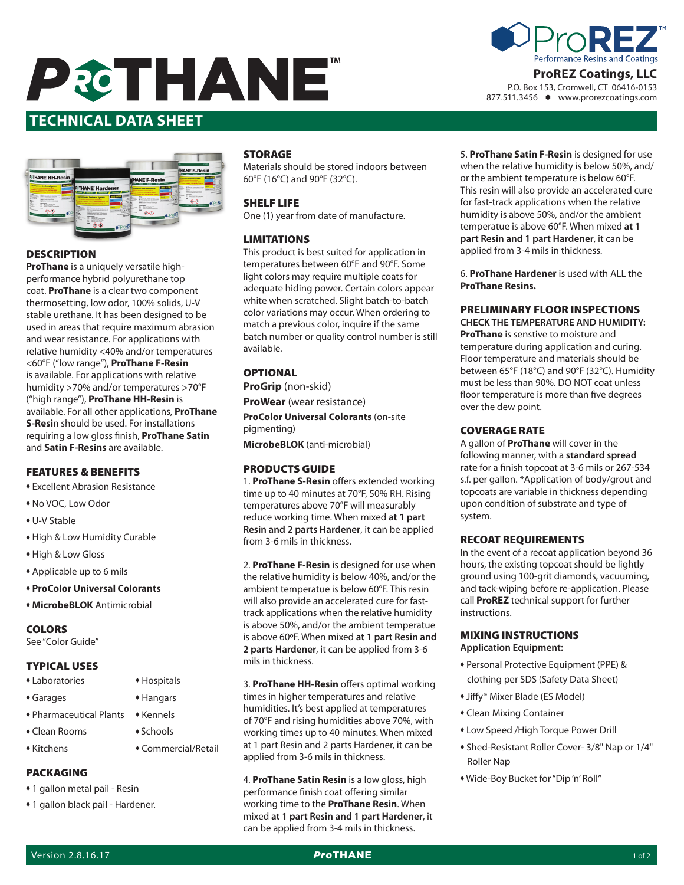



P.O. Box 153, Cromwell, CT 06416-0153 877.511.3456 www.prorezcoatings.com

# **Date Issued: 10/01/2014 Version: 1.0 TECHNICAL DATA SHEET**



## **DESCRIPTION**

**ProThane** is a uniquely versatile highperformance hybrid polyurethane top coat. **ProThane** is a clear two component thermosetting, low odor, 100% solids, U-V stable urethane. It has been designed to be used in areas that require maximum abrasion and wear resistance. For applications with relative humidity <40% and/or temperatures <60°F ("low range"), **ProThane F-Resin** is available. For applications with relative humidity >70% and/or temperatures >70°F ("high range"), **ProThane HH-Resin** is available. For all other applications, **ProThane S-Resi**n should be used. For installations requiring a low gloss finish, **ProThane Satin**  and **Satin F-Resins** are available.

#### FEATURES & BENEFITS

- **\* Excellent Abrasion Resistance**
- $*$  No VOC, Low Odor
- $*$  U-V Stable
- High & Low Humidity Curable
- High & Low Gloss
- \* Applicable up to 6 mils
- <sup>u</sup> **ProColor Universal Colorants**
- **+ MicrobeBLOK** Antimicrobial

## **COLORS**

See "Color Guide"

## TYPICAL USES

- Laboratories Hospitals
- Garages Hangars
- Pharmaceutical Plants Kennels
- Clean Rooms Schools
- <sup>u</sup> Kitchens u Commercial/Retail

## PACKAGING

- 1 gallon metal pail Resin
- 1 gallon black pail Hardener.

## **STORAGE**

Materials should be stored indoors between 60°F (16°C) and 90°F (32°C).

#### SHELF LIFE

One (1) year from date of manufacture.

### LIMITATIONS

This product is best suited for application in temperatures between 60°F and 90°F. Some light colors may require multiple coats for adequate hiding power. Certain colors appear white when scratched. Slight batch-to-batch color variations may occur. When ordering to match a previous color, inquire if the same batch number or quality control number is still available.

## **OPTIONAL**

**ProGrip** (non-skid)

**ProWear** (wear resistance)

**ProColor Universal Colorants** (on-site pigmenting)

**MicrobeBLOK** (anti-microbial)

#### PRODUCTS GUIDE

1. **ProThane S-Resin** offers extended working time up to 40 minutes at 70°F, 50% RH. Rising temperatures above 70°F will measurably reduce working time. When mixed **at 1 part Resin and 2 parts Hardener**, it can be applied from 3-6 mils in thickness.

2. **ProThane F-Resin** is designed for use when the relative humidity is below 40%, and/or the ambient temperatue is below 60°F. This resin will also provide an accelerated cure for fasttrack applications when the relative humidity is above 50%, and/or the ambient temperatue is above 60ºF. When mixed **at 1 part Resin and 2 parts Hardener**, it can be applied from 3-6 mils in thickness.

3. **ProThane HH-Resin** offers optimal working times in higher temperatures and relative humidities. It's best applied at temperatures of 70°F and rising humidities above 70%, with working times up to 40 minutes. When mixed at 1 part Resin and 2 parts Hardener, it can be applied from 3-6 mils in thickness.

4. **ProThane Satin Resin** is a low gloss, high performance finish coat offering similar working time to the **ProThane Resin**. When mixed **at 1 part Resin and 1 part Hardener**, it can be applied from 3-4 mils in thickness.

5. **ProThane Satin F-Resin** is designed for use when the relative humidity is below 50%, and/ or the ambient temperature is below 60°F. This resin will also provide an accelerated cure for fast-track applications when the relative humidity is above 50%, and/or the ambient temperatue is above 60°F. When mixed **at 1 part Resin and 1 part Hardener**, it can be applied from 3-4 mils in thickness.

6. **ProThane Hardener** is used with ALL the **ProThane Resins.**

## PRELIMINARY FLOOR INSPECTIONS

**CHECK THE TEMPERATURE AND HUMIDITY: ProThane** is senstive to moisture and temperature during application and curing. Floor temperature and materials should be between 65°F (18°C) and 90°F (32°C). Humidity must be less than 90%. DO NOT coat unless floor temperature is more than five degrees over the dew point.

## COVERAGE RATE

A gallon of **ProThane** will cover in the following manner, with a **standard spread rate** for a finish topcoat at 3-6 mils or 267-534 s.f. per gallon. \*Application of body/grout and topcoats are variable in thickness depending upon condition of substrate and type of system.

## RECOAT REQUIREMENTS

In the event of a recoat application beyond 36 hours, the existing topcoat should be lightly ground using 100-grit diamonds, vacuuming, and tack-wiping before re-application. Please call **ProREZ** technical support for further instructions.

#### MIXING INSTRUCTIONS **Application Equipment:**

- \* Personal Protective Equipment (PPE) & clothing per SDS (Safety Data Sheet)
- ◆ Jiffy® Mixer Blade (ES Model)
- Clean Mixing Container
- \* Low Speed /High Torque Power Drill
- <sup>u</sup> Shed-Resistant Roller Cover- 3/8" Nap or 1/4" Roller Nap
- <sup>u</sup> Wide-Boy Bucket for "Dip 'n' Roll"